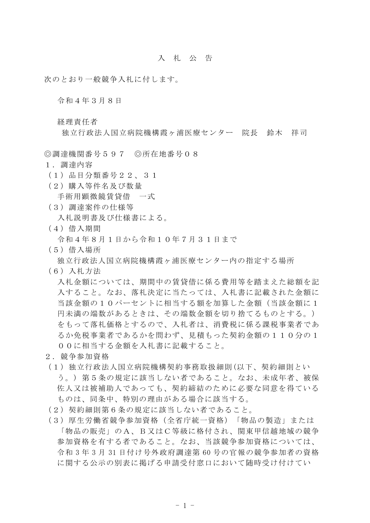## 入札公 告

次のとおり一般競争入札に付します。

令和4年3月8日

経理責任者

独立行政法人国立病院機構霞ヶ浦医療センター 院長 鈴木 祥司

◎調達機関番号597 ◎所在地番号08

- 1.調達内容
- (1)品目分類番号22、31
- (2)購入等件名及び数量

手術用顕微鏡賃貸借 一式

(3)調達案件の仕様等

入札説明書及び仕様書による。

(4)借入期間

令和4年8月1日から令和10年7月31日まで

- (5)借入場所
- 独立行政法人国立病院機構霞ヶ浦医療センター内の指定する場所
- (6)入札方法

入札金額については、期間中の賃貸借に係る費用等を踏まえた総額を記 入すること。なお、落札決定に当たっては、入札書に記載された金額に 当該金額の10パーセントに相当する額を加算した金額(当該金額に1 円未満の端数があるときは、その端数金額を切り捨てるものとする。) をもって落札価格とするので、入札者は、消費税に係る課税事業者であ るか免税事業者であるかを問わず、見積もった契約金額の110分の1 00に相当する金額を入札書に記載すること。

- 2.競争参加資格
- (1)独立行政法人国立病院機構契約事務取扱細則(以下、契約細則とい う。) 第5条の規定に該当しない者であること。なお、未成年者、被保 佐人又は被補助人であっても、契約締結のために必要な同意を得ている ものは、同条中、特別の理由がある場合に該当する。
- (2)契約細則第6条の規定に該当しない者であること。
- (3)厚生労働省競争参加資格(全省庁統一資格)「物品の製造」または 「物品の販売」のA、B又はC等級に格付され、関東甲信越地域の競争 参加資格を有する者であること。なお、当該競争参加資格については、 令和 3 年 3 月 31 日付け号外政府調達第 60 号の官報の競争参加者の資格 に関する公示の別表に掲げる申請受付窓口において随時受け付けてい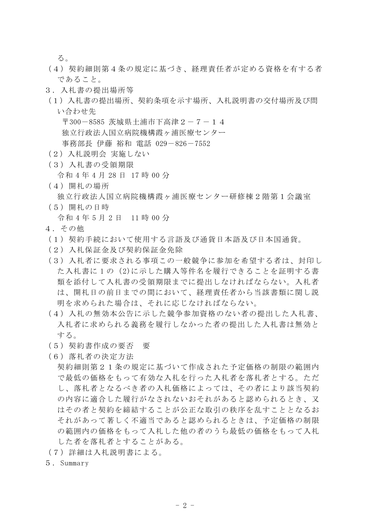る。

- (4)契約細則第4条の規定に基づき、経理責任者が定める資格を有する者 であること。
- 3.入札書の提出場所等
- (1)入札書の提出場所、契約条項を示す場所、入札説明書の交付場所及び問 い合わせ先

〒300-8585 茨城県土浦市下高津2-7-14 独立行政法人国立病院機構霞ヶ浦医療センター 事務部長 伊藤 裕和 電話 029-826-7552

- (2)入札説明会 実施しない
- (3)入札書の受領期限

令和 4 年 4 月 28 日 17 時 00 分

(4)開札の場所

独立行政法人国立病院機構霞ヶ浦医療センター研修棟2階第1会議室

(5)開札の日時

令和 4 年 5 月 2 日 11 時 00 分

- 4.その他
- (1)契約手続において使用する言語及び通貨日本語及び日本国通貨。
- (2)入札保証金及び契約保証金免除
- (3)入札者に要求される事項この一般競争に参加を希望する者は、封印し た入札書に 1 の(2)に示した購入等件名を履行できることを証明する書 類を添付して入札書の受領期限までに提出しなければならない。入札者 は、開札日の前日までの間において、経理責任者から当該書類に関し説 明を求められた場合は、それに応じなければならない。
- (4)入札の無効本公告に示した競争参加資格のない者の提出した入札書、 入札者に求められる義務を履行しなかった者の提出した入札書は無効と する。
- (5)契約書作成の要否 要
- (6)落札者の決定方法

契約細則第21条の規定に基づいて作成された予定価格の制限の範囲内 で最低の価格をもって有効な入札を行った入札者を落札者とする。ただ し、落札者となるべき者の入札価格によっては、その者により該当契約 の内容に適合した履行がなされないおそれがあると認められるとき、又 はその者と契約を締結することが公正な取引の秩序を乱すこととなるお それがあって著しく不適当であると認められるときは、予定価格の制限 の範囲内の価格をもって入札した他の者のうち最低の価格をもって入札 した者を落札者とすることがある。

- (7)詳細は入札説明書による。
- 5.Summary